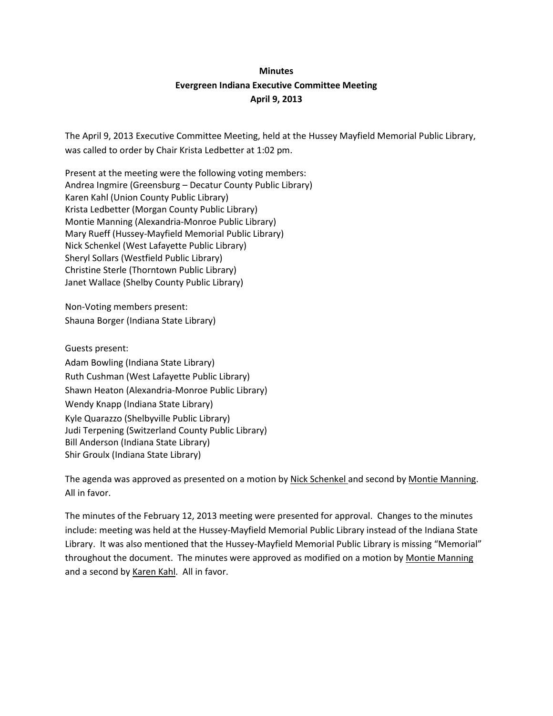# **Minutes Evergreen Indiana Executive Committee Meeting April 9, 2013**

The April 9, 2013 Executive Committee Meeting, held at the Hussey Mayfield Memorial Public Library, was called to order by Chair Krista Ledbetter at 1:02 pm.

Present at the meeting were the following voting members: Andrea Ingmire (Greensburg – Decatur County Public Library) Karen Kahl (Union County Public Library) Krista Ledbetter (Morgan County Public Library) Montie Manning (Alexandria-Monroe Public Library) Mary Rueff (Hussey-Mayfield Memorial Public Library) Nick Schenkel (West Lafayette Public Library) Sheryl Sollars (Westfield Public Library) Christine Sterle (Thorntown Public Library) Janet Wallace (Shelby County Public Library)

Non-Voting members present: Shauna Borger (Indiana State Library)

Guests present: Adam Bowling (Indiana State Library) Ruth Cushman (West Lafayette Public Library) Shawn Heaton (Alexandria-Monroe Public Library) Wendy Knapp (Indiana State Library) Kyle Quarazzo (Shelbyville Public Library) Judi Terpening (Switzerland County Public Library) Bill Anderson (Indiana State Library) Shir Groulx (Indiana State Library)

The agenda was approved as presented on a motion by Nick Schenkel and second by Montie Manning. All in favor.

The minutes of the February 12, 2013 meeting were presented for approval. Changes to the minutes include: meeting was held at the Hussey-Mayfield Memorial Public Library instead of the Indiana State Library. It was also mentioned that the Hussey-Mayfield Memorial Public Library is missing "Memorial" throughout the document. The minutes were approved as modified on a motion by Montie Manning and a second by Karen Kahl. All in favor.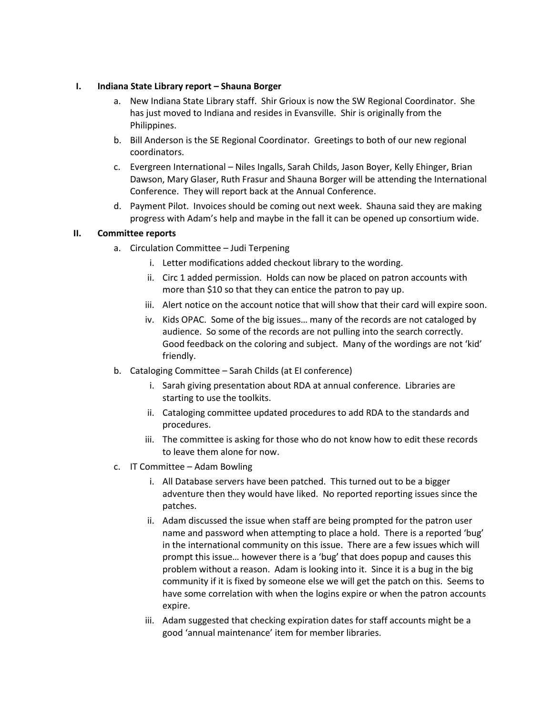#### **I. Indiana State Library report – Shauna Borger**

- a. New Indiana State Library staff. Shir Grioux is now the SW Regional Coordinator. She has just moved to Indiana and resides in Evansville. Shir is originally from the Philippines.
- b. Bill Anderson is the SE Regional Coordinator. Greetings to both of our new regional coordinators.
- c. Evergreen International Niles Ingalls, Sarah Childs, Jason Boyer, Kelly Ehinger, Brian Dawson, Mary Glaser, Ruth Frasur and Shauna Borger will be attending the International Conference. They will report back at the Annual Conference.
- d. Payment Pilot. Invoices should be coming out next week. Shauna said they are making progress with Adam's help and maybe in the fall it can be opened up consortium wide.

### **II. Committee reports**

- a. Circulation Committee Judi Terpening
	- i. Letter modifications added checkout library to the wording.
	- ii. Circ 1 added permission. Holds can now be placed on patron accounts with more than \$10 so that they can entice the patron to pay up.
	- iii. Alert notice on the account notice that will show that their card will expire soon.
	- iv. Kids OPAC. Some of the big issues… many of the records are not cataloged by audience. So some of the records are not pulling into the search correctly. Good feedback on the coloring and subject. Many of the wordings are not 'kid' friendly.
- b. Cataloging Committee Sarah Childs (at EI conference)
	- i. Sarah giving presentation about RDA at annual conference. Libraries are starting to use the toolkits.
	- ii. Cataloging committee updated procedures to add RDA to the standards and procedures.
	- iii. The committee is asking for those who do not know how to edit these records to leave them alone for now.
- c. IT Committee Adam Bowling
	- i. All Database servers have been patched. This turned out to be a bigger adventure then they would have liked. No reported reporting issues since the patches.
	- ii. Adam discussed the issue when staff are being prompted for the patron user name and password when attempting to place a hold. There is a reported 'bug' in the international community on this issue. There are a few issues which will prompt this issue… however there is a 'bug' that does popup and causes this problem without a reason. Adam is looking into it. Since it is a bug in the big community if it is fixed by someone else we will get the patch on this. Seems to have some correlation with when the logins expire or when the patron accounts expire.
	- iii. Adam suggested that checking expiration dates for staff accounts might be a good 'annual maintenance' item for member libraries.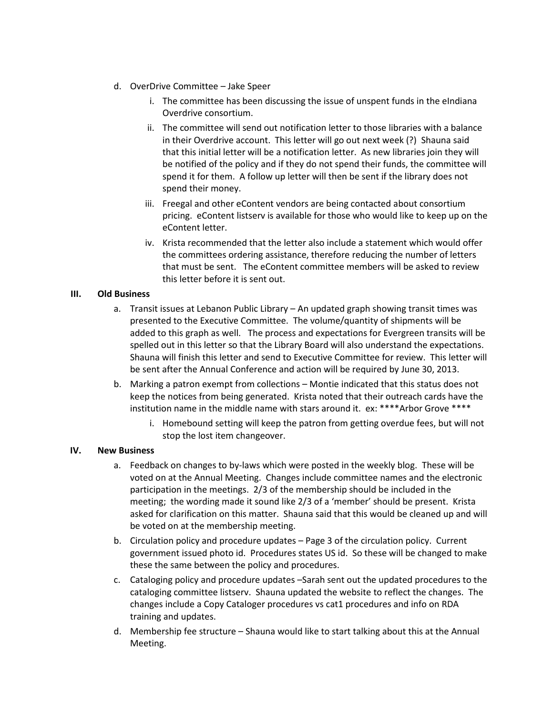- d. OverDrive Committee Jake Speer
	- i. The committee has been discussing the issue of unspent funds in the eIndiana Overdrive consortium.
	- ii. The committee will send out notification letter to those libraries with a balance in their Overdrive account. This letter will go out next week (?) Shauna said that this initial letter will be a notification letter. As new libraries join they will be notified of the policy and if they do not spend their funds, the committee will spend it for them. A follow up letter will then be sent if the library does not spend their money.
	- iii. Freegal and other eContent vendors are being contacted about consortium pricing. eContent listserv is available for those who would like to keep up on the eContent letter.
	- iv. Krista recommended that the letter also include a statement which would offer the committees ordering assistance, therefore reducing the number of letters that must be sent. The eContent committee members will be asked to review this letter before it is sent out.

### **III. Old Business**

- a. Transit issues at Lebanon Public Library An updated graph showing transit times was presented to the Executive Committee. The volume/quantity of shipments will be added to this graph as well. The process and expectations for Evergreen transits will be spelled out in this letter so that the Library Board will also understand the expectations. Shauna will finish this letter and send to Executive Committee for review. This letter will be sent after the Annual Conference and action will be required by June 30, 2013.
- b. Marking a patron exempt from collections Montie indicated that this status does not keep the notices from being generated. Krista noted that their outreach cards have the institution name in the middle name with stars around it. ex: \*\*\*\*Arbor Grove \*\*\*\*
	- i. Homebound setting will keep the patron from getting overdue fees, but will not stop the lost item changeover.

## **IV. New Business**

- a. Feedback on changes to by-laws which were posted in the weekly blog. These will be voted on at the Annual Meeting. Changes include committee names and the electronic participation in the meetings. 2/3 of the membership should be included in the meeting; the wording made it sound like 2/3 of a 'member' should be present. Krista asked for clarification on this matter. Shauna said that this would be cleaned up and will be voted on at the membership meeting.
- b. Circulation policy and procedure updates Page 3 of the circulation policy. Current government issued photo id. Procedures states US id. So these will be changed to make these the same between the policy and procedures.
- c. Cataloging policy and procedure updates –Sarah sent out the updated procedures to the cataloging committee listserv. Shauna updated the website to reflect the changes. The changes include a Copy Cataloger procedures vs cat1 procedures and info on RDA training and updates.
- d. Membership fee structure Shauna would like to start talking about this at the Annual Meeting.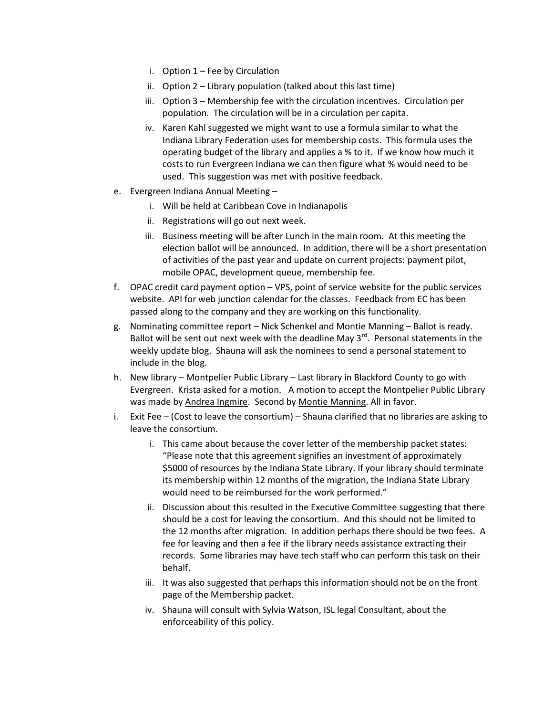- i. Option 1 Fee by Circulation
- ii. Option 2 Library population (talked about this last time)
- iii. Option 3 Membership fee with the circulation incentives. Circulation per population. The circulation will be in a circulation per capita.
- iv. Karen Kahl suggested we might want to use a formula similar to what the Indiana Library Federation uses for membership costs. This formula uses the operating budget of the library and applies a % to it. If we know how much it costs to run Evergreen Indiana we can then figure what % would need to be used. This suggestion was met with positive feedback.
- e. Evergreen Indiana Annual Meeting
	- i. Will be held at Caribbean Cove in Indianapolis
	- ii. Registrations will go out next week.
	- iii. Business meeting will be after Lunch in the main room. At this meeting the election ballot will be announced. In addition, there will be a short presentation of activities of the past year and update on current projects: payment pilot, mobile OPAC, development queue, membership fee.
- f. OPAC credit card payment option VPS, point of service website for the public services website. API for web junction calendar for the classes. Feedback from EC has been passed along to the company and they are working on this functionality.
- g. Nominating committee report Nick Schenkel and Montie Manning Ballot is ready. Ballot will be sent out next week with the deadline May  $3^{rd}$ . Personal statements in the weekly update blog. Shauna will ask the nominees to send a personal statement to include in the blog.
- h. New library Montpelier Public Library Last library in Blackford County to go with Evergreen. Krista asked for a motion. A motion to accept the Montpelier Public Library was made by Andrea Ingmire. Second by Montie Manning. All in favor.
- i. Exit Fee (Cost to leave the consortium) Shauna clarified that no libraries are asking to leave the consortium.
	- i. This came about because the cover letter of the membership packet states: "Please note that this agreement signifies an investment of approximately \$5000 of resources by the Indiana State Library. If your library should terminate its membership within 12 months of the migration, the Indiana State Library would need to be reimbursed for the work performed."
	- ii. Discussion about this resulted in the Executive Committee suggesting that there should be a cost for leaving the consortium. And this should not be limited to the 12 months after migration. In addition perhaps there should be two fees. A fee for leaving and then a fee if the library needs assistance extracting their records. Some libraries may have tech staff who can perform this task on their behalf.
	- iii. It was also suggested that perhaps this information should not be on the front page of the Membership packet.
	- iv. Shauna will consult with Sylvia Watson, ISL legal Consultant, about the enforceability of this policy.